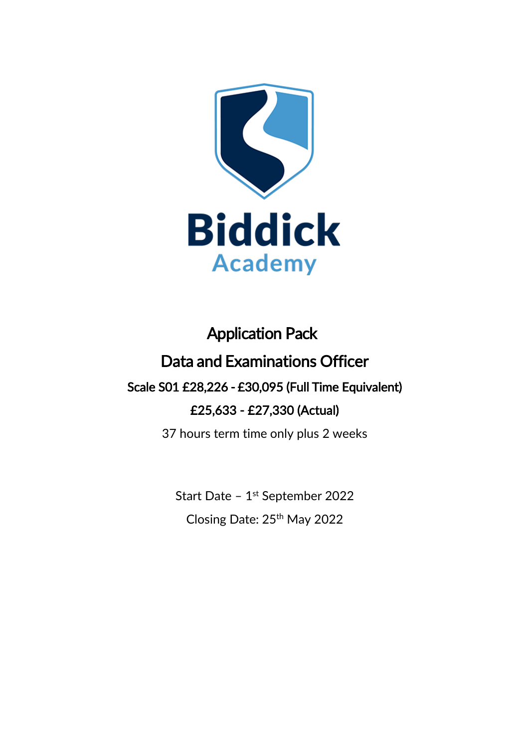

# Application Pack Data and Examinations Officer Scale S01 £28,226 - £30,095 (Full Time Equivalent) £25,633 - £27,330 (Actual)

37 hours term time only plus 2 weeks

Start Date - 1<sup>st</sup> September 2022 Closing Date: 25th May 2022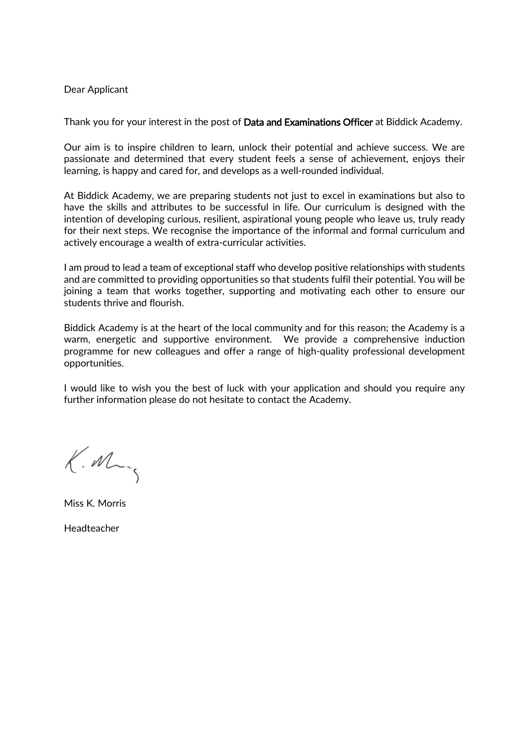#### Dear Applicant

Thank you for your interest in the post of **Data and Examinations Officer** at Biddick Academy.

Our aim is to inspire children to learn, unlock their potential and achieve success. We are passionate and determined that every student feels a sense of achievement, enjoys their learning, is happy and cared for, and develops as a well-rounded individual.

At Biddick Academy, we are preparing students not just to excel in examinations but also to have the skills and attributes to be successful in life. Our curriculum is designed with the intention of developing curious, resilient, aspirational young people who leave us, truly ready for their next steps. We recognise the importance of the informal and formal curriculum and actively encourage a wealth of extra-curricular activities.

I am proud to lead a team of exceptional staff who develop positive relationships with students and are committed to providing opportunities so that students fulfil their potential. You will be joining a team that works together, supporting and motivating each other to ensure our students thrive and flourish.

Biddick Academy is at the heart of the local community and for this reason; the Academy is a warm, energetic and supportive environment. We provide a comprehensive induction programme for new colleagues and offer a range of high-quality professional development opportunities.

I would like to wish you the best of luck with your application and should you require any further information please do not hesitate to contact the Academy.

 $K.M$ 

Miss K. Morris

Headteacher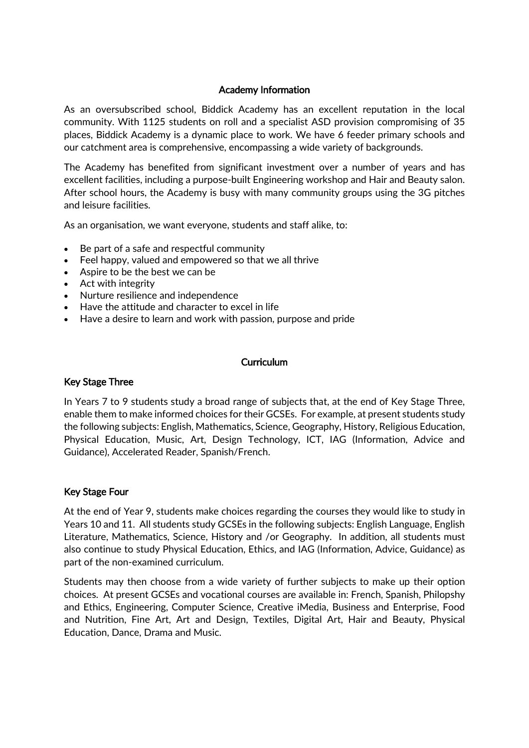### Academy Information

As an oversubscribed school, Biddick Academy has an excellent reputation in the local community. With 1125 students on roll and a specialist ASD provision compromising of 35 places, Biddick Academy is a dynamic place to work. We have 6 feeder primary schools and our catchment area is comprehensive, encompassing a wide variety of backgrounds.

The Academy has benefited from significant investment over a number of years and has excellent facilities, including a purpose-built Engineering workshop and Hair and Beauty salon. After school hours, the Academy is busy with many community groups using the 3G pitches and leisure facilities.

As an organisation, we want everyone, students and staff alike, to:

- Be part of a safe and respectful community
- Feel happy, valued and empowered so that we all thrive
- Aspire to be the best we can be
- Act with integrity
- Nurture resilience and independence
- Have the attitude and character to excel in life
- Have a desire to learn and work with passion, purpose and pride

#### Curriculum

## Key Stage Three

In Years 7 to 9 students study a broad range of subjects that, at the end of Key Stage Three, enable them to make informed choices for their GCSEs. For example, at present students study the following subjects: English, Mathematics, Science, Geography, History, Religious Education, Physical Education, Music, Art, Design Technology, ICT, IAG (Information, Advice and Guidance), Accelerated Reader, Spanish/French.

#### Key Stage Four

At the end of Year 9, students make choices regarding the courses they would like to study in Years 10 and 11. All students study GCSEs in the following subjects: English Language, English Literature, Mathematics, Science, History and /or Geography. In addition, all students must also continue to study Physical Education, Ethics, and IAG (Information, Advice, Guidance) as part of the non-examined curriculum.

Students may then choose from a wide variety of further subjects to make up their option choices. At present GCSEs and vocational courses are available in: French, Spanish, Philopshy and Ethics, Engineering, Computer Science, Creative iMedia, Business and Enterprise, Food and Nutrition, Fine Art, Art and Design, Textiles, Digital Art, Hair and Beauty, Physical Education, Dance, Drama and Music.